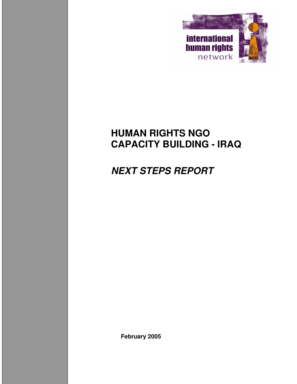

# **HUMAN RIGHTS NGO CAPACITY BUILDING - IRAQ**

# *NEXT STEPS REPORT*

**February 2005**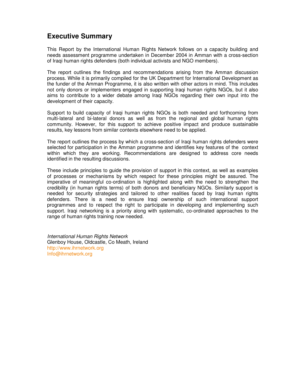# **Executive Summary**

This Report by the International Human Rights Network follows on a capacity building and needs assessment programme undertaken in December 2004 in Amman with a cross-section of Iraqi human rights defenders (both individual activists and NGO members).

The report outlines the findings and recommendations arising from the Amman discussion process. While it is primarily compiled for the UK Department for International Development as the funder of the Amman Programme, it is also written with other actors in mind. This includes not only donors or implementers engaged in supporting Iraqi human rights NGOs, but it also aims to contribute to a wider debate among Iraqi NGOs regarding their own input into the development of their capacity.

Support to build capacity of Iraqi human rights NGOs is both needed and forthcoming from multi-lateral and bi-lateral donors as well as from the regional and global human rights community. However, for this support to achieve positive impact and produce sustainable results, key lessons from similar contexts elsewhere need to be applied.

The report outlines the process by which a cross-section of Iraqi human rights defenders were selected for participation in the Amman programme and identifies key features of the context within which they are working. Recommendations are designed to address core needs identified in the resulting discussions.

These include principles to guide the provision of support in this context, as well as examples of processes or mechanisms by which respect for these principles might be assured. The imperative of meaningful co-ordination is highlighted along with the need to strengthen the credibility (in human rights terms) of both donors and beneficiary NGOs. Similarly support is needed for security strategies and tailored to other realities faced by Iraqi human rights defenders. There is a need to ensure Iraqi ownership of such international support programmes and to respect the right to participate in developing and implementing such support. Iraqi networking is a priority along with systematic, co-ordinated approaches to the range of human rights training now needed.

*International Human Rights Network* Glenboy House, Oldcastle, Co Meath, Ireland http://www.ihrnetwork.org Info@ihrnetwork.org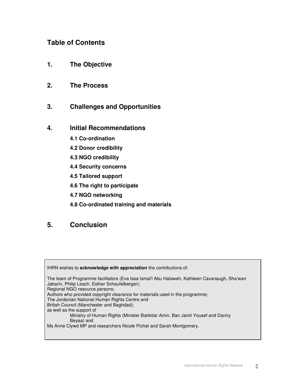# **Table of Contents**

- **1. The Objective**
- **2. The Process**
- **3. Challenges and Opportunities**
- **4. Initial Recommendations**
	- **4.1 Co-ordination**
	- **4.2 Donor credibility**
	- **4.3 NGO credibility**
	- **4.4 Security concerns**
	- **4.5 Tailored support**
	- **4.6 The right to participate**
	- **4.7 NGO networking**
	- **4.8 Co-ordinated training and materials**

# **5. Conclusion**

IHRN wishes to **acknowledge with appreciation** the contributions of: The team of Programme facilitators (Eva Issa Ismai'l Abu Halaweh, Kathleen Cavanaugh, Sha'wan Jabarin, Philip Leach, Esther Schaufelberger); Regional NGO resource persons; Authors who provided copyright clearance for materials used in the programme; The Jordanian National Human Rights Centre and British Council (Manchester and Baghdad); as well as the support of Ministry of Human Rights (Minister Bahktiar Amin, Ban Jamil Yousef and Danny Beyaa) and Ms Anne Clywd MP and researchers Nicole Pichet and Sarah Montgomery.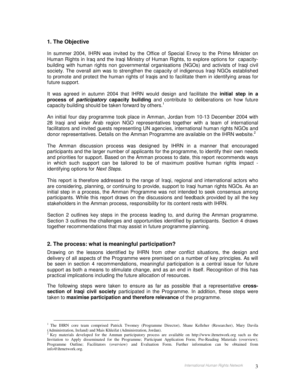# **1. The Objective**

In summer 2004, IHRN was invited by the Office of Special Envoy to the Prime Minister on Human Rights in Iraq and the Iraqi Ministry of Human Rights, to explore options for capacitybuilding with human rights non governmental organisations (NGOs) and activists of Iraqi civil society. The overall aim was to strengthen the capacity of indigenous Iraqi NGOs established to promote and protect the human rights of Iraqis and to facilitate them in identifying areas for future support.

It was agreed in autumn 2004 that IHRN would design and facilitate the **initial step in a process of** *participatory* **capacity building** and contribute to deliberations on how future capacity building should be taken forward by others. 1

An initial four day programme took place in Amman, Jordan from 10-13 December 2004 with 28 Iraqi and wider Arab region NGO representatives together with a team of international facilitators and invited guests representing UN agencies, international human rights NGOs and donor representatives. Details on the Amman Programme are available on the IHRN website.<sup>2</sup>

The Amman discussion process was designed by IHRN in a manner that encouraged participants and the larger number of applicants for the programme, to identify their own needs and priorities for support. Based on the Amman process to date, this report recommends ways in which such support can be tailored to be of maximum positive human rights impact identifying options for *Next Steps*.

This report is therefore addressed to the range of Iraqi, regional and international actors who are considering, planning, or continuing to provide, support to Iraqi human rights NGOs. As an initial step in a process, the Amman Programme was not intended to seek consensus among participants. While this report draws on the discussions and feedback provided by all the key stakeholders in the Amman process, responsibility for its content rests with IHRN.

Section 2 outlines key steps in the process leading to, and during the Amman programme. Section 3 outlines the challenges and opportunities identified by participants. Section 4 draws together recommendations that may assist in future programme planning.

## **2. The process: what is meaningful participation?**

Drawing on the lessons identified by IHRN from other conflict situations, the design and delivery of all aspects of the Programme were premised on a number of key principles. As will be seen in section 4 recommendations, meaningful participation is a central issue for future support as both a means to stimulate change, and as an end in itself. Recognition of this has practical implications including the future allocation of resources.

The following steps were taken to ensure as far as possible that a representative **crosssection of Iraqi civil society** participated in the Programme. In addition, these steps were taken to **maximise participation and therefore relevance** of the programme.

<sup>&</sup>lt;sup>1</sup> The IHRN core team comprised Patrick Twomey (Programme Director), Shane Kelleher (Researcher), Mary Davila (Administration, Ireland) and Mais Khleifat (Administration, Jordan).

<sup>2</sup> Key materials developed for the Amman participatory process are available on http://www.ihrnetwork.org such as the Invitation to Apply disseminated for the Programme; Participant Application Form; Pre-Reading Materials (overview); Programme Outline; Facilitators (overview) and Evaluation Form. Further information can be obtained from info@ihrnetwork.org.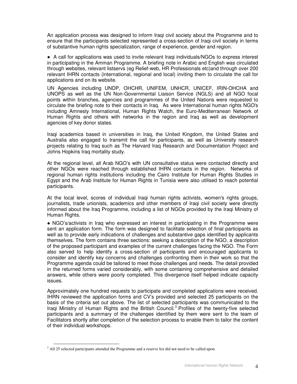An application process was designed to inform Iraqi civil society about the Programme and to ensure that the participants selected represented a cross-section of Iraqi civil society in terms of substantive human rights specialization, range of experience, gender and region.

 A call for applications was used to invite relevant Iraqi individuals/NGOs to express interest in participating in the Amman Programme. A briefing note in Arabic and English was circulated through websites, relevant listservs (eg Relief-web, HR Professionals etc)and through over 200 relevant IHRN contacts (international, regional and local) inviting them to circulate the call for applications and on its website.

UN Agencies including UNDP, OHCHR, UNIFEM, UNHCR, UNICEF, IRIN-OHCHA and UNOPS as well as the UN Non-Governmental Liaison Service (NGLS) and all NGO focal points within branches, agencies and programmes of the United Nations were requested to circulate the briefing note to their contacts in Iraq. As were International human rights NGO's including Amnesty International, Human Rights Watch, the Euro-Mediterranean Network of Human Rights and others with networks in the region and Iraq as well as development agencies of key donor states.

Iraqi academics based in universities in Iraq, the United Kingdom, the United States and Australia also engaged to transmit the call for participants, as well as University research projects relating to Iraq such as The Harvard Iraq Research and Documentation Project and Johns Hopkins Iraq mortality study.

At the regional level, all Arab NGO's with UN consultative status were contacted directly and other NGOs were reached through established IHRN contacts in the region. Networks of regional human rights institutions including the Cairo Institute for Human Rights Studies in Egypt and the Arab Institute for Human Rights in Tunisia were also utilised to reach potential participants.

At the local level, scores of individual Iraqi human rights activists, women's rights groups, journalists, trade unionists, academics and other members of Iraqi civil society were directly informed about the Iraq Programme, including a list of NGOs provided by the Iraqi Ministry of Human Rights.

 NGO's/activists in Iraq who expressed an interest in participating in the Programme were sent an application form. The form was designed to facilitate selection of final participants as well as to provide early indications of challenges and substantive gaps identified by applicants themselves. The form contains three sections: seeking a description of the NGO, a description of the proposed participant and examples of the current challenges facing the NGO. The Form also served to help identify a cross-section of participants and encouraged applicants to consider and identify key concerns and challenges confronting them in their work so that the Programme agenda could be tailored to meet those challenges and needs. The detail provided in the returned forms varied considerably, with some containing comprehensive and detailed answers, while others were poorly completed. This divergence itself helped indicate capacity issues.

Approximately one hundred requests to participate and completed applications were received. IHRN reviewed the application forms and CV's provided and selected 25 participants on the basis of the criteria set out above. The list of selected participants was communicated to the Iraqi Ministry of Human Rights and the British Council.<sup>3</sup> Profiles of the twenty-five selected participants and a summary of the challenges identified by them were sent to the team of Facilitators shortly after completion of the selection process to enable them to tailor the content of their individual workshops.

<sup>&</sup>lt;sup>3</sup> All 25 selected participants attended the Programme and a reserve list did not need to be called upon.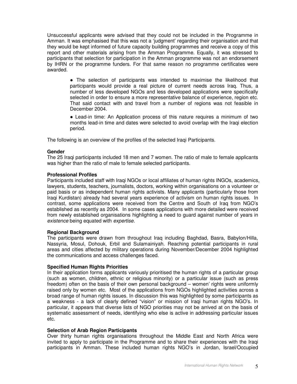Unsuccessful applicants were advised that they could not be included in the Programme in Amman. It was emphasised that this was not a 'judgment' regarding their organisation and that they would be kept informed of future capacity building programmes and receive a copy of this report and other materials arising from the Amman Programme. Equally, it was stressed to participants that selection for participation in the Amman programme was not an endorsement by IHRN or the programme funders. For that same reason no programme certificates were awarded.

> The selection of participants was intended to maximise the likelihood that participants would provide a real picture of current needs across Iraq. Thus, a number of less developed NGOs and less developed applications were specifically selected in order to ensure a more representative balance of experience, region etc. That said contact with and travel from a number of regions was not feasible in December 2004.

> Lead-in time: An Application process of this nature requires a minimum of two months lead-in time and dates were selected to avoid overlap with the Iraqi election period.

The following is an overview of the profiles of the selected Iraqi Participants.

#### **Gender**

The 25 Iraqi participants included 18 men and 7 women. The ratio of male to female applicants was higher than the ratio of male to female selected participants.

#### **Professional Profiles**

Participants included staff with Iraqi NGOs or local affiliates of human rights INGOs, academics, lawyers, students, teachers, journalists, doctors, working within organisations on a volunteer or paid basis or as independent human rights activists. Many applicants (particularly those from Iraqi Kurdistan) already had several years experience of activism on human rights issues. In contrast, some applications were received from the Centre and South of Iraq from NGO's established as recently as 2004. In some cases applications with more detailed were received from newly established organisations highlighting a need to guard against number of years in *existence* being equated with *expertise.*

#### **Regional Background**

The participants were drawn from throughout Iraq including Baghdad, Basra, Babylon/Hilla, Nassyria, Mosul, Dohouk, Erbil and Sulamainiyah. Reaching potential participants in rural areas and cities affected by military operations during November/December 2004 highlighted the communications and access challenges faced.

#### **Specified Human Rights Priorities**

In their application forms applicants variously prioritised the human rights of a particular group (such as women, children, ethnic or religious minority) or a particular issue (such as press freedom) often on the basis of their own personal background – women' rights were uniformly raised only by women etc. Most of the applications from NGOs highlighted activities across a broad range of human rights issues. In discussion this was highlighted by some participants as a weakness - a lack of clearly defined "vision" or mission of Iraqi human rights NGO's. In particular, it appears that diverse lists of NGO priorities may not be arrived at on the basis of systematic assessment of needs, identifying who else is active in addressing particular issues etc.

#### **Selection of Arab Region Participants**

Over thirty human rights organisations throughout the Middle East and North Africa were invited to apply to participate in the Programme and to share their experiences with the Iraqi participants in Amman. These included human rights NGO's in Jordan, Israel/Occupied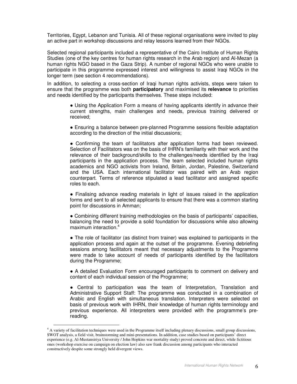Territories, Egypt, Lebanon and Tunisia. All of these regional organisations were invited to play an active part in workshop discussions and relay lessons learned from their NGOs.

Selected regional participants included a representative of the Cairo Institute of Human Rights Studies (one of the key centres for human rights research in the Arab region) and Al-Mezan (a human rights NGO based in the Gaza Strip). A number of regional NGOs who were unable to participate in this programme expressed interest and willingness to assist Iraqi NGOs in the longer term (see section 4 recommendations).

In addition, to selecting a cross-section of Iraqi human rights activists, steps were taken to ensure that the programme was both **participatory** and maximised its **relevance** to priorities and needs identified by the participants themselves. These steps included:

> Using the Application Form a means of having applicants identify in advance their current strengths, main challenges and needs, previous training delivered or received;

> Ensuring a balance between pre-planned Programme sessions flexible adaptation according to the direction of the initial discussions;

> Confirming the team of facilitators after application forms had been reviewed. Selection of Facilitators was on the basis of IHRN's familiarity with their work and the relevance of their background/skills to the challenges/needs identified by the Iraqi participants in the application process. The team selected included human rights academics and NGO activists from Ireland, Britain, Jordan, Palestine, Switzerland and the USA. Each international facilitator was paired with an Arab region counterpart. Terms of reference stipulated a lead facilitator and assigned specific roles to each.

> Finalising advance reading materials in light of issues raised in the application forms and sent to all selected applicants to ensure that there was a common starting point for discussions in Amman;

> Combining different training methodologies on the basis of participants' capacities, balancing the need to provide a solid foundation for discussions while also allowing maximum interaction. 4

> • The role of facilitator (as distinct from trainer) was explained to participants in the application process and again at the outset of the programme. Evening debriefing sessions among facilitators meant that necessary adjustments to the Programme were made to take account of needs of participants identified by the facilitators during the Programme;

> A detailed Evaluation Form encouraged participants to comment on delivery and content of each individual session of the Programme;

> Central to participation was the team of Interpretation, Translation and Administrative Support Staff: The programme was conducted in a combination of Arabic and English with simultaneous translation. Interpreters were selected on basis of previous work with IHRN, their knowledge of human rights terminology and previous experience. All interpreters were provided with the programme's prereading.

<sup>4</sup> A variety of facilitation techniques were used in the Programme itself including plenary discussions, small group discussions, SWOT analysis, a field visit, brainstorming and mini-presentations. In addition, case studies based on participants' direct experience (e.g. Al-Mustansiriya University / John Hopkins war mortality study) proved concrete and direct, while fictitious ones (workshop exercise on campaign on election law) also saw frank discussion among participants who interacted constructively despite some strongly held divergent views.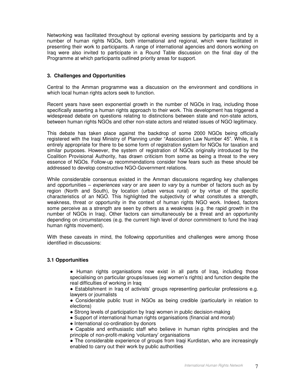Networking was facilitated throughout by optional evening sessions by participants and by a number of human rights NGOs, both international and regional, which were facilitated in presenting their work to participants. A range of international agencies and donors working on Iraq were also invited to participate in a Round Table discussion on the final day of the Programme at which participants outlined priority areas for support.

## **3. Challenges and Opportunities**

Central to the Amman programme was a discussion on the environment and conditions in which local human rights actors seek to function.

Recent years have seen exponential growth in the number of NGOs in Iraq, including those specifically asserting a human rights approach to their work. This development has triggered a widespread debate on questions relating to distinctions between state and non-state actors, between human rights NGOs and other non-state actors and related issues of NGO legitimacy.

This debate has taken place against the backdrop of some 2000 NGOs being officially registered with the Iraqi Ministry of Planning under "Association Law Number 45". While, it is entirely appropriate for there to be some form of registration system for NGOs for taxation and similar purposes. However, the system of registration of NGOs originally introduced by the Coalition Provisional Authority, has drawn criticism from some as being a threat to the very essence of NGOs. Follow-up recommendations consider how fears such as these should be addressed to develop constructive NGO-Government relations.

While considerable consensus existed in the Amman discussions regarding key challenges and opportunities – *experiences vary* or are *seen to vary* by a number of factors such as by region (North and South), by location (urban versus rural) or by virtue of the specific characteristics of an NGO. This highlighted the subjectivity of what constitutes a strength, weakness, threat or opportunity in the context of human rights NGO work. Indeed, factors some perceive as a strength are seen by others as a weakness (e.g. the rapid growth in the number of NGOs in Iraq). Other factors can simultaneously be a threat and an opportunity depending on circumstances (e.g. the current high level of donor commitment to fund the Iraqi human rights movement).

With these caveats in mind, the following opportunities and challenges were among those identified in discussions:

## **3.1 Opportunities**

• Human rights organisations now exist in all parts of Iraq, including those specialising on particular groups/issues (eg women's rights) and function despite the real difficulties of working in Iraq

 Establishment in Iraq of activists' groups representing particular professions e.g. lawyers or journalists

- Considerable public trust in NGOs as being credible (particularly in relation to elections)
- Strong levels of participation by Iraqi women in public decision-making
- Support of international human rights organisations (financial and moral)
- International co-ordination by donors
- Capable and enthusiastic staff who believe in human rights principles and the principle of non-profit-making 'voluntary' organisations
- The considerable experience of groups from Iraqi Kurdistan, who are increasingly enabled to carry out their work by public authorities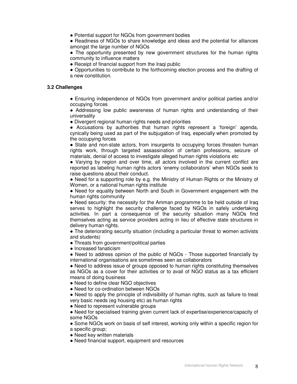Potential support for NGOs from government bodies

• Readiness of NGOs to share knowledge and ideas and the potential for alliances amongst the large number of NGOs

• The opportunity presented by new government structures for the human rights community to influence matters

• Receipt of financial support from the Iraqi public

 Opportunities to contribute to the forthcoming election process and the drafting of a new constitution.

#### **3.2 Challenges**

 Ensuring independence of NGOs from government and/or political parties and/or occupying forces

 Addressing low public awareness of human rights and understanding of their universality

Divergent regional human rights needs and priorities

 Accusations by authorities that human rights represent a 'foreign' agenda, cynically being used as part of the subjugation of Iraq, especially when promoted by the occupying forces

• State and non-state actors, from insurgents to occupying forces threaten human rights work, through targeted assassination of certain professions, seizure of materials, denial of access to investigate alleged human rights violations etc

 Varying by region and over time, all actors involved in the current conflict are reported as labeling human rights actors 'enemy collaborators' when NGOs seek to raise questions about their conduct.

• Need for a supporting role by e.g. the Ministry of Human Rights or the Ministry of Women, or a national human rights institute

• Need for equality between North and South in Government engagement with the human rights community

• Need security: the necessity for the Amman programme to be held outside of Irag serves to highlight the security challenge faced by NGOs in safely undertaking activities. In part a consequence of the security situation many NGOs find themselves acting as service providers acting in lieu of effective state structures in delivery human rights.

 The deteriorating security situation (including a particular threat to women activists and students)

- Threats from government/political parties
- Increased fanaticism

• Need to address opinion of the public of NGOs - Those supported financially by international organisations are sometimes seen as collaborators

• Need to address issue of groups opposed to human rights constituting themselves as NGOs as a cover for their activities or to avail of NGO status as a tax efficient means of doing business

- Need to define clear NGO objectives
- Need for co-ordination between NGOs
- Need to apply the principle of indivisibility of human rights, such as failure to treat very basic needs (eg housing etc) as human rights
- Need to represent vulnerable groups
- Need for specialised training given current lack of expertise/experience/capacity of some NGOs
- Some NGOs work on basis of self interest, working only within a specific region for a specific group;
- Need key written materials
- Need financial support, equipment and resources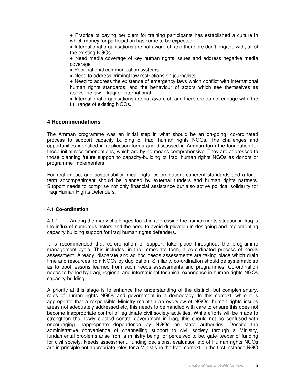• Practice of paying per diem for training participants has established a culture in which money for participation has come to be expected

 International organisations are not aware of, and therefore don't engage with, all of the existing NGOs

 Need media coverage of key human rights issues and address negative media coverage

• Poor national communication systems

• Need to address criminal law restrictions on journalists

• Need to address the existence of emergency laws which conflict with international human rights standards; and the behaviour of actors which see themselves as above the law – Iraqi or international

• International organisations are not aware of, and therefore do not engage with, the full range of existing NGOs.

## **4 Recommendations**

The Amman programme was an initial step in what should be an on-going, co-ordinated process to support capacity building of Iraqi human rights NGOs. The challenges and opportunities identified in application forms and discussed in Amman form the foundation for these initial recommendations, which are by no means comprehensive. They are addressed to those planning future support to capacity-building of Iraqi human rights NGOs as donors or programme implementers.

For real impact and sustainability, meaningful co-ordination, coherent standards and a longterm accompaniment should be planned by external funders and human rights partners. Support needs to comprise not only financial assistance but also active political solidarity for Iraqi Human Rights Defenders.

## **4.1 Co-ordination**

4.1.1 Among the many challenges faced in addressing the human rights situation in Iraq is the influx of numerous actors and the need to avoid duplication in designing and implementing capacity building support for Iraqi human rights defenders.

It is recommended that co-ordination of support take place throughout the programme management cycle. This includes, in the immediate term, a co-ordinated process of needs assessment. Already, disparate and ad hoc needs assessments are taking place which drain time and resources from NGOs by duplication. Similarly, co-ordination should be systematic so as to pool lessons learned from such needs assessments and programmes. Co-ordination needs to be led by Iraqi, regional and international technical experience in human rights NGOs capacity-building.

A priority at this stage is to enhance the understanding of the distinct, but complementary, roles of human rights NGOs and government in a democracy. In this context, while it is appropriate that a responsible Ministry maintain an overview of NGOs, human rights issues areas not adequately addressed etc, this needs to be handled with care to ensure this does not become inappropriate control of legitimate civil society activities. While efforts will be made to strengthen the newly elected central government in Iraq, this should not be confused with encouraging inappropriate dependence by NGOs on state authorities. Despite the administrative convenience of channelling support to civil society through a Ministry, fundamental problems arise from a ministry being, or perceived to be, gate-keeper of funding for civil society. Needs assessment, funding decisions, evaluation etc of Human rights NGOs are in principle not appropriate roles for a Ministry in the Iraqi context. In the first instance NGO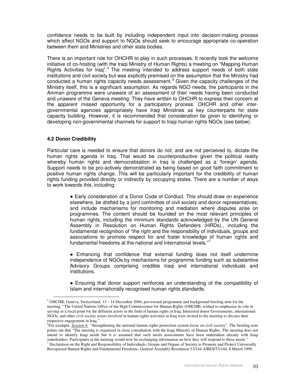confidence needs to be built by including independent input into decision-making process which affect NGOs and support to NGOs should seek to encourage appropriate co-operation between them and Ministries and other state bodies.

There is an important role for OHCHR to play in such processes. It recently took the welcome initiative of co-hosting (with the Iraqi Ministry of Human Rights) a meeting on "Mapping Human Rights Activities for Iraq".<sup>5</sup> The meeting intended to address support needs of both state institutions and civil society but was explicitly premised on the assumption that the Ministry had conducted a human rights capacity needs assessment. <sup>6</sup> Given the capacity challenges of the Ministry itself, this is a significant assumption. As regards NGO needs, the participants in the Amman programme were unaware of an assessment of their needs having been conducted and unaware of the Geneva meeting. They have written to OHCHR to express their concern at the apparent missed opportunity for a participatory process. OHCHR and other intergovernmental agencies appropriately have Iraqi Ministries as key counterparts for state capacity building. However, it is recommended that consideration be given to identifying or developing non-governmental channels for support to Iraqi human rights NGOs (see below).

## **4.2 Donor Credibility**

Particular care is needed to ensure that donors do not, and are not perceived to, dictate the human rights agenda in Iraq. That would be counterproductive given the political reality whereby human rights and democratisation in Iraq is challenged as a 'foreign' agenda. Support needs to be pro-actively demonstrated as being based on good faith commitment to positive human rights change. This will be particularly important for the credibility of human rights funding provided directly or indirectly by occupying states. There are a number of ways to work towards this, including:

> Early consideration of a Donor Code of Conduct. This should draw on experience elsewhere, be drafted by a joint committee of civil society and donor representatives; and include mechanisms for monitoring and mediation where disputes arise on programmes. The content should be founded on the most relevant principles of human rights, including the minimum standards acknowledged by the UN General Assembly in Resolution on Human Rights Defenders (HRDs)., including the fundamental recognition of "the right and the responsibility of individuals, groups and associations to promote respect for and foster knowledge of human rights and fundamental freedoms at the national and international levels."7

> Enhancing that confidence that external funding does not itself undermine independence of NGOs by mechanisms for programme funding such as substantive Advisory Groups comprising credible Iraqi and international individuals and institutions.

> Ensuring that donor support reinforces an understanding of the compatibility of Islam and internationally recognised human rights standards.

<sup>5</sup> OHCHR, Geneva, Switzerland, 13 – 14 December 2004, provisional programme and background briefing note for the meeting. "The United Nations Office of the High Commissioner for Human Rights (OHCHR) wished to emphasize its role in serving as a focal point for the different actors in the field of human rights in Iraq. Interested donor Governments, international NGOs, and other civil society actors involved in human rights activities in Iraq were invited to the meeting to discuss their respective engagement in Iraq."

<sup>6</sup> For example, *Session 4: "*Strengthening the national human rights protection system-focus on civil society". The briefing note points out that "The meeting is organized in close consultation with the Iraqi Ministry of Human Rights. The meeting does not intend to identify Iraqi needs but it is assumed that such needs assessments have been undertaken already with Iraqi stakeholders. Participants in the meeting would now be exchanging information on how they will respond to those needs."  $<sup>7</sup>$  Declaration on the Right and Responsibility of Individuals, Groups and Organs of Society to Promote and Protect Universally</sup>

Recognized Human Rights and Fundamental Freedoms, General Assembly Resolution 53/144 A/RES/53/144, 8 March 1999.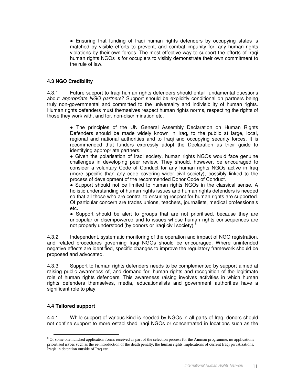Ensuring that funding of Iraqi human rights defenders by occupying states is matched by visible efforts to prevent, and combat impunity for, any human rights violations by their own forces. The most effective way to support the efforts of Iraqi human rights NGOs is for occupiers to visibly demonstrate their own commitment to the rule of law.

## **4.3 NGO Credibility**

4.3.1 Future support to Iraqi human rights defenders should entail fundamental questions about *appropriate NGO partners*? Support should be explicitly conditional on partners being truly non-governmental and committed to the universality and indivisibility of human rights. Human rights defenders must themselves respect human rights norms, respecting the rights of those they work with, and for, non-discrimination etc.

> • The principles of the UN General Assembly Declaration on Human Rights Defenders should be made widely known in Iraq, to the public at large, local, regional and national authorities and to Iraqi and occupying security forces. It is recommended that funders expressly adopt the Declaration as their guide to identifying appropriate partners.

> Given the polarisation of Iraqi society, human rights NGOs would face genuine challenges in developing peer review. They should, however, be encouraged to consider a voluntary Code of Conduct for any human rights NGOs active in Iraq (more specific than any code covering wider civil society), possibly linked to the process of development of the recommended Donor Code of Conduct.

> Support should not be limited to human rights NGOs in the classical sense. A holistic understanding of human rights issues and human rights defenders is needed so that all those who are central to ensuring respect for human rights are supported. Of particular concern are trades unions, teachers, journalists, medical professionals etc.

> • Support should be alert to groups that are not prioritised, because they are unpopular or disempowered and to issues whose human rights consequences are not properly understood (by donors or Iraqi civil society).<sup>8</sup>

4.3.2 Independent, systematic monitoring of the operation and impact of NGO registration, and related procedures governing Iraqi NGOs should be encouraged. Where unintended negative effects are identified, specific changes to improve the regulatory framework should be proposed and advocated.

4.3.3 Support to human rights defenders needs to be complemented by support aimed at raising public awareness of, and demand for, human rights and recognition of the legitimate role of human rights defenders. This awareness raising involves activities in which human rights defenders themselves, media, educationalists and government authorities have a significant role to play.

## **4.4 Tailored support**

4.4.1 While support of various kind is needed by NGOs in all parts of Iraq, donors should not confine support to more established Iraqi NGOs or concentrated in locations such as the

<sup>&</sup>lt;sup>8</sup> Of some one hundred application forms received as part of the selection process for the Amman programme, no applications prioritised issues such as the re-introduction of the death penalty, the human rights implications of current Iraqi privatizations, Iraqis in detention outside of Iraq etc.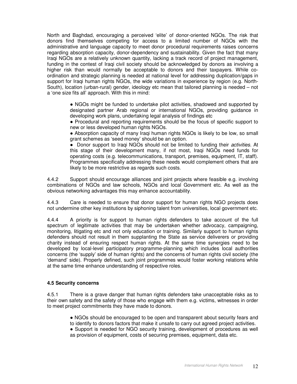North and Baghdad, encouraging a perceived 'elite' of donor-oriented NGOs. The risk that donors find themselves competing for access to a limited number of NGOs with the administrative and language capacity to meet donor procedural requirements raises concerns regarding absorption capacity, donor-dependency and sustainability. Given the fact that many Iraqi NGOs are a relatively unknown quantity, lacking a track record of project management, funding in the contest of Iraqi civil society should be acknowledged by donors as involving a higher risk than would normally be acceptable to donors and their taxpayers. While coordination and strategic planning is needed at national level for addressing duplication/gaps in support for Iraqi human rights NGOs, the wide variations in experience by region (e.g. North-South), location (urban-rural) gender, ideology etc mean that tailored planning is needed – not a 'one size fits all' approach. With this in mind:

> NGOs might be funded to undertake pilot activities, shadowed and supported by designated partner Arab regional or international NGOs, providing guidance in developing work plans, undertaking legal analysis of findings etc

> Procedural and reporting requirements should be the focus of specific support to new or less developed human rights NGOs.

> Absorption capacity of many Iraqi human rights NGOs is likely to be low, so small grant schemes as 'seed money' should be an option.

> Donor support to Iraqi NGOs should not be limited to funding their *activities*. At this stage of their development many, if not most, Iraqi NGOs need funds for operating costs (e.g. telecommunications, transport, premises, equipment, IT, staff). Programmes specifically addressing these needs would complement others that are likely to be more restrictive as regards such costs.

4.4.2 Support should encourage alliances and joint projects where feasible e.g. involving combinations of NGOs and law schools, NGOs and local Government etc. As well as the obvious networking advantages this may enhance accountability.

4.4.3 Care is needed to ensure that donor support for human rights NGO projects does not undermine other key institutions by siphoning talent from universities, local government etc.

4.4.4 A priority is for support to human rights defenders to take account of the full spectrum of legitimate activities that may be undertaken whether advocacy, campaigning, monitoring, litigating etc and not only education or training. Similarly support to human rights defenders should not result in them supplanting the State as service deliverers or providing charity instead of ensuring respect human rights. At the same time synergies need to be developed by local-level participatory programme-planning which includes local authorities concerns (the 'supply' side of human rights) and the concerns of human rights civil society (the 'demand' side). Properly defined, such joint programmes would foster working relations while at the same time enhance understanding of respective roles.

## **4.5 Security concerns**

4.5.1 There is a grave danger that human rights defenders take unacceptable risks as to their own safety and the safety of those who engage with them e.g. victims, witnesses in order to meet project commitments they have made to donors.

> NGOs should be encouraged to be open and transparent about security fears and to identify to donors factors that make it unsafe to carry out agreed project activities.

> • Support is needed for NGO security training, development of procedures as well as provision of equipment, costs of securing premises, equipment, data etc.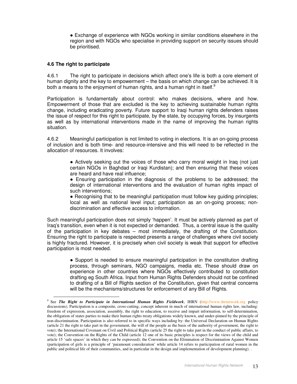Exchange of experience with NGOs working in similar conditions elsewhere in the region and with NGOs who specialise in providing support on security issues should be prioritised.

## **4.6 The right to participate**

4.6.1 The right to participate in decisions which affect one's life is both a core element of human dignity and the key to empowerment – the basis on which change can be achieved. It is both a means to the enjoyment of human rights, and a human right in itself.<sup>9</sup>

Participation is fundamentally about control: who makes decisions, where and how. Empowerment of those that are excluded is the key to achieving sustainable human rights change, including eradicating poverty. Future support to Iraqi human rights defenders raises the issue of respect for this right to participate, by the state, by occupying forces, by insurgents as well as by international interventions made in the name of improving the human rights situation.

4.6.2 Meaningful participation is not limited to voting in elections. It is an on-going process of inclusion and is both time- and resource-intensive and this will need to be reflected in the allocation of resources. It involves:

> Actively seeking out the voices of those who carry moral weight in Iraq (not just certain NGOs in Baghdad or Iraqi Kurdistan); and then ensuring that these voices are heard and have real influence;

> Ensuring participation in the diagnosis of the problems to be addressed; the design of international interventions and the evaluation of human rights impact of such interventions;

> • Recognising that to be meaningful participation must follow key guiding principles; local as well as national level input; participation as an on-going process; nondiscrimination and effective access to information.

Such meaningful participation does not simply 'happen'. It must be actively planned as part of Iraq's transition, even when it is not expected or demanded. Thus, a central issue is the quality of the participation in key debates – most immediately, the drafting of the Constitution. Ensuring the right to participate is respected presents a range of challenges where civil society is highly fractured. However, it is precisely when civil society is weak that support for effective participation is most needed.

> • Support is needed to ensure meaningful participation in the constitution drafting process, through seminars, NGO campaigns, media etc. These should draw on experience in other countries where NGOs effectively contributed to constitution drafting eg South Africa. Input from Human Rights Defenders should not be confined to drafting of a Bill of Rights section of the Constitution, given that central concerns will be the mechanisms/structures for enforcement of any Bill of Rights.

<sup>9</sup> See *The Right to Participate in International Human Rights Fieldwork*, IHRN (http://www.ihrnetwork.org policy discussions). Participation is a composite, cross-cutting, concept inherent in much of international human rights law, including: freedom of expression, association, assembly, the right to education, to receive and impart information, to self-determination, the obligation of states parties to make their human rights treaty obligations widely known, and under-pinned by the principle of non-discrimination. Participation is also referred to in specific ways including by: the Universal Declaration on Human Rights (article 21 the right to take part in the government, the will of the people as the basis of the authority of government, the right to vote); the International Covenant on Civil and Political Rights (article 25 the right to take part in the conduct of public affairs, to vote); the Convention on the Rights of the Child (article 12 one of its basic principles is respect for the views of the child and article 15 'safe spaces' in which they can be expressed); the Convention on the Elimination of Discrimination Against Women (participation of girls is a principle of 'paramount consideration' while article 14 refers to participation of rural women in the public and political life of their communities, and in particular in the design and implementation of development planning). .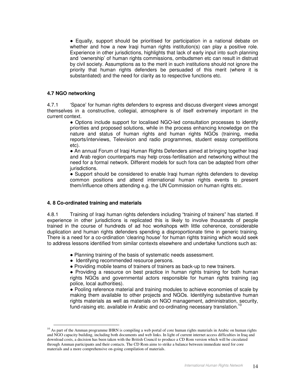Equally, support should be prioritised for participation in a national debate on whether and how a new Iraqi human rights institution(s) can play a positive role. Experience in other jurisdictions, highlights that lack of early input into such planning and 'ownership' of human rights commissions, ombudsmen etc can result in distrust by civil society. Assumptions as to the merit in such institutions should not ignore the priority that human rights defenders be persuaded of this merit (where it is substantiated) and the need for clarity as to respective functions etc.

## **4.7 NGO networking**

4.7.1 'Space' for human rights defenders to express and discuss divergent views amongst themselves in a constructive, collegial, atmosphere is of itself extremely important in the current context.

 Options include support for localised NGO-led consultation processes to identify priorities and proposed solutions, while in the process enhancing knowledge on the nature and status of human rights and human rights NGOs (training, media reports/interviews, Television and radio programmes, student essay competitions etc).

 An annual Forum of Iraqi Human Rights Defenders aimed at bringing together Iraqi and Arab region counterparts may help cross-fertilisation and networking without the need for a formal network. Different models for such fora can be adapted from other jurisdictions.

• Support should be considered to enable Iraqi human rights defenders to develop common positions and attend international human rights events to present them/influence others attending e.g. the UN Commission on human rights etc.

#### **4. 8 Co-ordinated training and materials**

4.8.1 Training of Iraqi human rights defenders including "training of trainers" has started. If experience in other jurisdictions is replicated this is likely to involve thousands of people trained in the course of hundreds of ad hoc workshops with little coherence, considerable duplication and human rights defenders spending a disproportionate time in generic training. There is a need for a co-ordination 'clearing house' for human rights training which would seek to address lessons identified from similar contexts elsewhere and undertake functions such as:

- Planning training of the basis of systematic needs assessment.
- Identifying recommended resource persons.
- Providing mobile teams of trainers of trainers as back-up to new trainers.

• Providing a resource on best practice in human rights training for both human rights NGOs and governmental actors responsible for human rights training (eg police, local authorities).

 Pooling reference material and training modules to achieve economies of scale by making them available to other projects and NGOs. Identifying substantive human rights materials as well as materials on NGO management, administration, security, fund-raising etc. available in Arabic and co-ordinating necessary translation.<sup>10</sup>

<sup>&</sup>lt;sup>10</sup> As part of the Amman programme IHRN is compiling a web portal of core human rights materials in Arabic on human rights and NGO capacity building, including both documents and web links. In light of current internet access difficulties in Iraq and download costs, a decision has been taken with the British Council to produce a CD Rom version which will be circulated through Amman participants and their contacts. The CD Rom aims to strike a balance between immediate need for core materials and a more comprehensive on-going compilation of materials.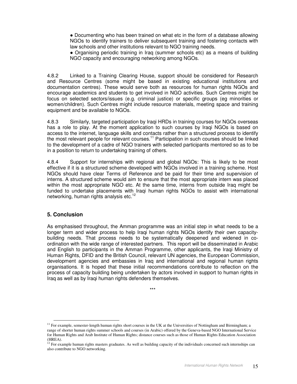Documenting who has been trained on what etc in the form of a database allowing NGOs to identify trainers to deliver subsequent training and fostering contacts with law schools and other institutions relevant to NGO training needs.

 Organising periodic training in Iraq (summer schools etc) as a means of building NGO capacity and encouraging networking among NGOs.

4.8.2 Linked to a Training Clearing House, support should be considered for Research and Resource Centres (some might be based in existing educational institutions and documentation centres). These would serve both as resources for human rights NGOs and encourage academics and students to get involved in NGO activities. Such Centres might be focus on selected sectors/issues (e.g. criminal justice) or specific groups (eg minorities or women/children). Such Centres might include resource materials, meeting space and training equipment and be available to NGOs.

4.8.3 Similarly, targeted participation by Iraqi HRDs in training courses for NGOs overseas has a role to play. At the moment application to such courses by Iraqi NGOs is based on access to the internet, language skills and contacts rather than a structured process to identify the most relevant people for relevant courses.<sup>11</sup> Participation in such courses should be linked to the development of a cadre of NGO trainers with selected participants mentored so as to be in a position to return to undertaking training of others.

4.8.4 Support for internships with regional and global NGOs: This is likely to be most effective if it is a structured scheme developed with NGOs involved in a training scheme. Host NGOs should have clear Terms of Reference and be paid for their time and supervision of interns. A structured scheme would aim to ensure that the most appropriate intern was placed within the most appropriate NGO etc. At the same time, interns from outside Iraq might be funded to undertake placements with Iraqi human rights NGOs to assist with international networking, human rights analysis etc.<sup>12</sup>

# **5. Conclusion**

As emphasised throughout, the Amman programme was an initial step in what needs to be a longer term and wider process to help Iraqi human rights NGOs identify their own capacitybuilding needs. That process needs to be systematically deepened and widened in coordination with the wide range of interested partners. This report will be disseminated in Arabic and English to participants in the Amman Programme, other applicants, the Iraqi Ministry of Human Rights, DFID and the British Council, relevant UN agencies, the European Commission, development agencies and embassies in Iraq and international and regional human rights organisations. It is hoped that these initial recommendations contribute to reflection on the process of capacity building being undertaken by actors involved in support to human rights in Iraq as well as by Iraqi human rights defenders themselves.

\*\*\*

<sup>&</sup>lt;sup>11</sup> For example, semester-length human rights short courses in the UK at the Universities of Nottingham and Birmingham; a range of shorter human rights summer schools and courses (in Arabic) offered by the Geneva-based NGO International Service for Human Rights and Arab Institute of Human Rights; distance courses such as those of Human Rights Education Association (HREA).

 $12$  For example human rights masters graduates. As well as building capacity of the individuals concerned such internships can also contribute to NGO networking.